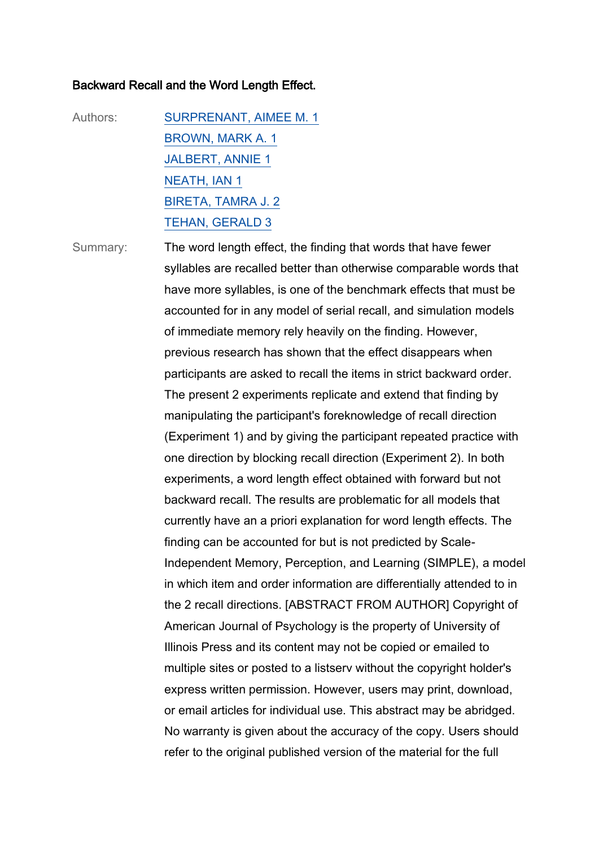## Backward Recall and the Word Length Effect.

Authors: [SURPRENANT, AIMEE M. 1](https://docexwebv-prod.usq.edu.au/zportal/zengine?VDXaction=ZSearch&collections=19&collections=20&collections=21&collections=43&collections=46&collections=7&attr_type1_row1=1003&attr_type2_row1=3&attr_type3_row1=3&attr_type5_row1=100&attr_type6_row1=1&search_term_row1=SURPRENANT,%20AIMEE%20M.%201) [BROWN, MARK A. 1](https://docexwebv-prod.usq.edu.au/zportal/zengine?VDXaction=ZSearch&collections=19&collections=20&collections=21&collections=43&collections=46&collections=7&attr_type1_row1=1003&attr_type2_row1=3&attr_type3_row1=3&attr_type5_row1=100&attr_type6_row1=1&search_term_row1=BROWN,%20MARK%20A.%201) [JALBERT, ANNIE 1](https://docexwebv-prod.usq.edu.au/zportal/zengine?VDXaction=ZSearch&collections=19&collections=20&collections=21&collections=43&collections=46&collections=7&attr_type1_row1=1003&attr_type2_row1=3&attr_type3_row1=3&attr_type5_row1=100&attr_type6_row1=1&search_term_row1=JALBERT,%20ANNIE%201) [NEATH, IAN 1](https://docexwebv-prod.usq.edu.au/zportal/zengine?VDXaction=ZSearch&collections=19&collections=20&collections=21&collections=43&collections=46&collections=7&attr_type1_row1=1003&attr_type2_row1=3&attr_type3_row1=3&attr_type5_row1=100&attr_type6_row1=1&search_term_row1=NEATH,%20IAN%201) [BIRETA, TAMRA J. 2](https://docexwebv-prod.usq.edu.au/zportal/zengine?VDXaction=ZSearch&collections=19&collections=20&collections=21&collections=43&collections=46&collections=7&attr_type1_row1=1003&attr_type2_row1=3&attr_type3_row1=3&attr_type5_row1=100&attr_type6_row1=1&search_term_row1=BIRETA,%20TAMRA%20J.%202) [TEHAN, GERALD 3](https://docexwebv-prod.usq.edu.au/zportal/zengine?VDXaction=ZSearch&collections=19&collections=20&collections=21&collections=43&collections=46&collections=7&attr_type1_row1=1003&attr_type2_row1=3&attr_type3_row1=3&attr_type5_row1=100&attr_type6_row1=1&search_term_row1=TEHAN,%20GERALD%203)

Summary: The word length effect, the finding that words that have fewer syllables are recalled better than otherwise comparable words that have more syllables, is one of the benchmark effects that must be accounted for in any model of serial recall, and simulation models of immediate memory rely heavily on the finding. However, previous research has shown that the effect disappears when participants are asked to recall the items in strict backward order. The present 2 experiments replicate and extend that finding by manipulating the participant's foreknowledge of recall direction (Experiment 1) and by giving the participant repeated practice with one direction by blocking recall direction (Experiment 2). In both experiments, a word length effect obtained with forward but not backward recall. The results are problematic for all models that currently have an a priori explanation for word length effects. The finding can be accounted for but is not predicted by Scale-Independent Memory, Perception, and Learning (SIMPLE), a model in which item and order information are differentially attended to in the 2 recall directions. [ABSTRACT FROM AUTHOR] Copyright of American Journal of Psychology is the property of University of Illinois Press and its content may not be copied or emailed to multiple sites or posted to a listserv without the copyright holder's express written permission. However, users may print, download, or email articles for individual use. This abstract may be abridged. No warranty is given about the accuracy of the copy. Users should refer to the original published version of the material for the full